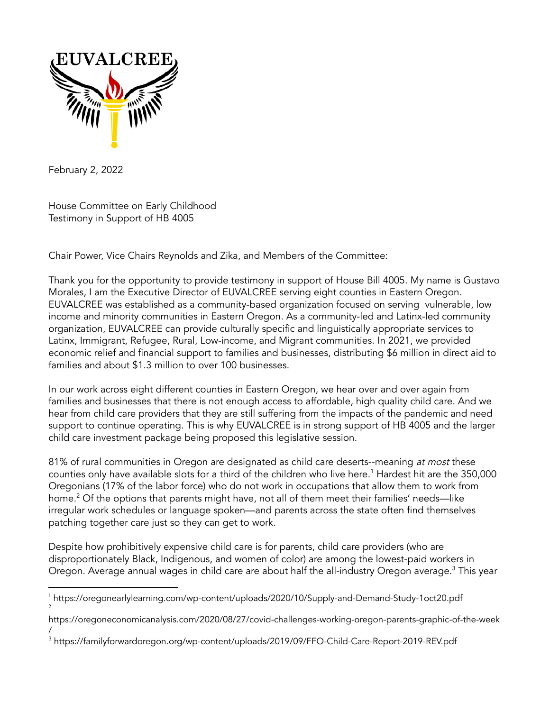

February 2, 2022

House Committee on Early Childhood Testimony in Support of HB 4005

Chair Power, Vice Chairs Reynolds and Zika, and Members of the Committee:

Thank you for the opportunity to provide testimony in support of House Bill 4005. My name is Gustavo Morales, I am the Executive Director of EUVALCREE serving eight counties in Eastern Oregon. EUVALCREE was established as a community-based organization focused on serving vulnerable, low income and minority communities in Eastern Oregon. As a community-led and Latinx-led community organization, EUVALCREE can provide culturally specific and linguistically appropriate services to Latinx, Immigrant, Refugee, Rural, Low-income, and Migrant communities. In 2021, we provided economic relief and financial support to families and businesses, distributing \$6 million in direct aid to families and about \$1.3 million to over 100 businesses.

In our work across eight different counties in Eastern Oregon, we hear over and over again from families and businesses that there is not enough access to affordable, high quality child care. And we hear from child care providers that they are still suffering from the impacts of the pandemic and need support to continue operating. This is why EUVALCREE is in strong support of HB 4005 and the larger child care investment package being proposed this legislative session.

81% of rural communities in Oregon are designated as child care deserts--meaning at most these counties only have available slots for a third of the children who live here. $^1$  Hardest hit are the 350,000 Oregonians (17% of the labor force) who do not work in occupations that allow them to work from home. $^2$  Of the options that parents might have, not all of them meet their families' needs—like irregular work schedules or language spoken—and parents across the state often find themselves patching together care just so they can get to work.

Despite how prohibitively expensive child care is for parents, child care providers (who are disproportionately Black, Indigenous, and women of color) are among the lowest-paid workers in Oregon. Average annual wages in child care are about half the all-industry Oregon average.<sup>3</sup> This year

<sup>2</sup> <sup>1</sup> https://oregonearlylearning.com/wp-content/uploads/2020/10/Supply-and-Demand-Study-1oct20.pdf

https://oregoneconomicanalysis.com/2020/08/27/covid-challenges-working-oregon-parents-graphic-of-the-week /

<sup>3</sup> https://familyforwardoregon.org/wp-content/uploads/2019/09/FFO-Child-Care-Report-2019-REV.pdf